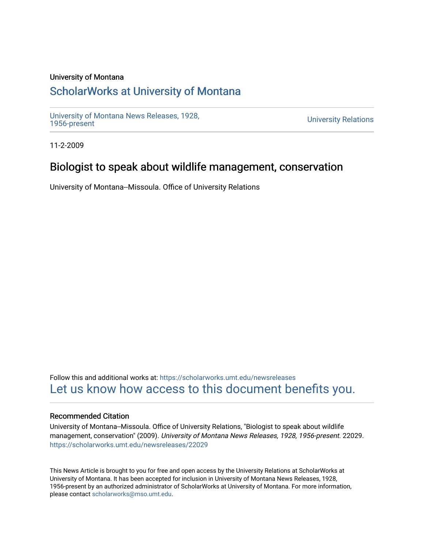#### University of Montana

## [ScholarWorks at University of Montana](https://scholarworks.umt.edu/)

[University of Montana News Releases, 1928,](https://scholarworks.umt.edu/newsreleases) 

**University Relations** 

11-2-2009

### Biologist to speak about wildlife management, conservation

University of Montana--Missoula. Office of University Relations

Follow this and additional works at: [https://scholarworks.umt.edu/newsreleases](https://scholarworks.umt.edu/newsreleases?utm_source=scholarworks.umt.edu%2Fnewsreleases%2F22029&utm_medium=PDF&utm_campaign=PDFCoverPages) [Let us know how access to this document benefits you.](https://goo.gl/forms/s2rGfXOLzz71qgsB2) 

#### Recommended Citation

University of Montana--Missoula. Office of University Relations, "Biologist to speak about wildlife management, conservation" (2009). University of Montana News Releases, 1928, 1956-present. 22029. [https://scholarworks.umt.edu/newsreleases/22029](https://scholarworks.umt.edu/newsreleases/22029?utm_source=scholarworks.umt.edu%2Fnewsreleases%2F22029&utm_medium=PDF&utm_campaign=PDFCoverPages) 

This News Article is brought to you for free and open access by the University Relations at ScholarWorks at University of Montana. It has been accepted for inclusion in University of Montana News Releases, 1928, 1956-present by an authorized administrator of ScholarWorks at University of Montana. For more information, please contact [scholarworks@mso.umt.edu.](mailto:scholarworks@mso.umt.edu)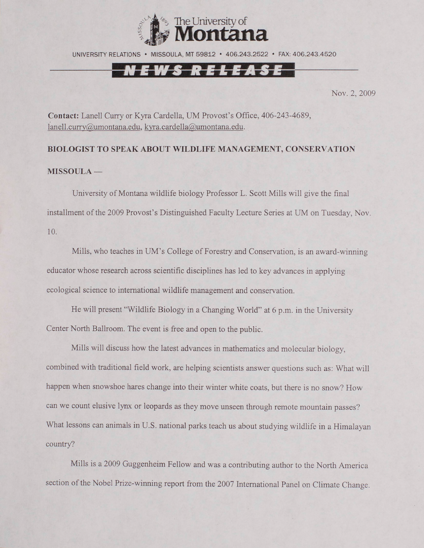

UNIVERSITY RELATIONS • MISSOULA, MT 59812 • 406.243.2522 • FAX: 406.243.4520

## <u>'S RELEA</u>

Nov. 2, 2009

**Contact:** Lanell Curry or Kyra Cardella, UM Provost's Office, 406-243-4689, [lanell.curry@umontana.edu,](mailto:lanell.curry@umontana.edu) [kyra.cardella@umontana.edu.](mailto:kyra.cardella@umontana.edu)

# **BIOLOGIST TO SPEAK ABOUT WILDLIFE MANAGEMENT, CONSERVATION MISSOULA —**

University of Montana wildlife biology Professor L. Scott Mills will give the final installment of the 2009 Provost's Distinguished Faculty Lecture Series at UM on Tuesday, Nov. 10.

Mills, who teaches in UM 's College of Forestry and Conservation, is an award-winning educator whose research across scientific disciplines has led to key advances in applying ecological science to international wildlife management and conservation.

He will present "Wildlife Biology in a Changing World" at 6 p.m. in the University Center North Ballroom. The event is free and open to the public.

Mills will discuss how the latest advances in mathematics and molecular biology, combined with traditional field work, are helping scientists answer questions such as: What will happen when snowshoe hares change into their winter white coats, but there is no snow? How can we count elusive lynx or leopards as they move unseen through remote mountain passes? What lessons can animals in U.S. national parks teach us about studying wildlife in a Himalayan country?

Mills is a 2009 Guggenheim Fellow and was a contributing author to the North America section of the Nobel Prize-winning report from the 2007 International Panel on Climate Change.